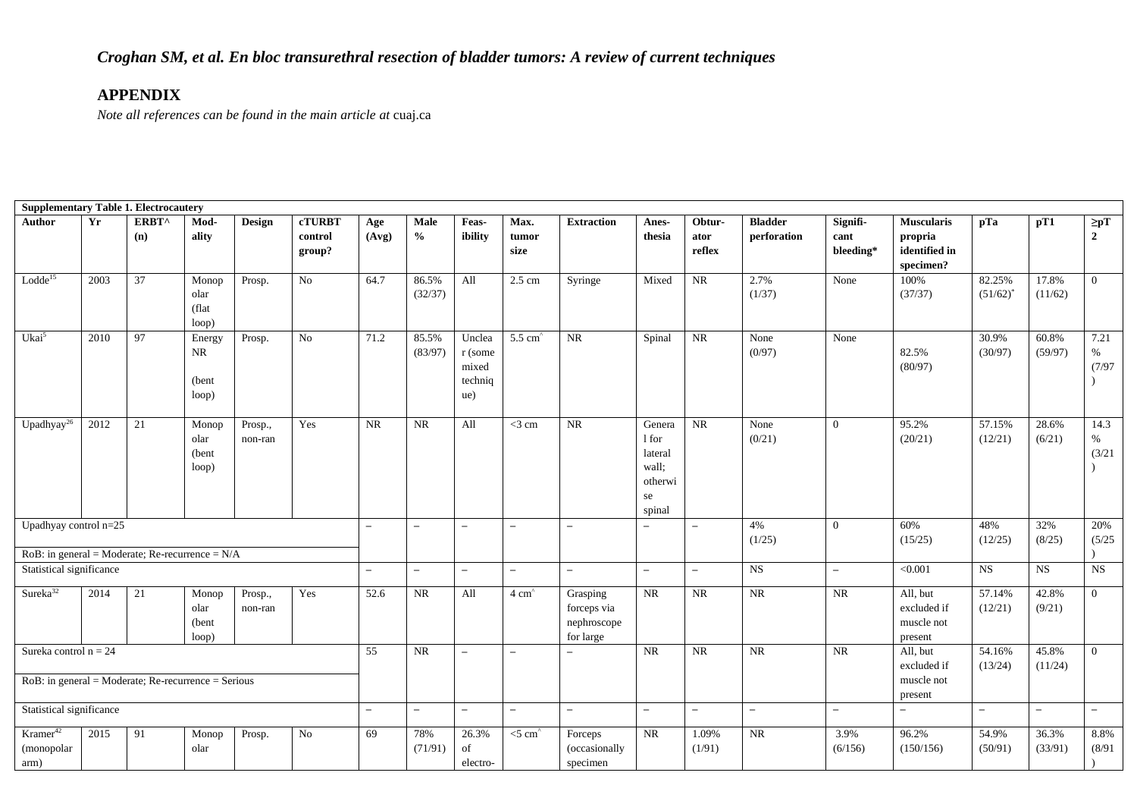| <b>Supplementary Table 1. Electrocautery</b>                                      |                                                                                                         |              |                                  |                    |                                    |                          |                          |                                              |                          |                                                     |                                                                |                          |                               |                                                  |                                                            |                       |                          |                             |
|-----------------------------------------------------------------------------------|---------------------------------------------------------------------------------------------------------|--------------|----------------------------------|--------------------|------------------------------------|--------------------------|--------------------------|----------------------------------------------|--------------------------|-----------------------------------------------------|----------------------------------------------------------------|--------------------------|-------------------------------|--------------------------------------------------|------------------------------------------------------------|-----------------------|--------------------------|-----------------------------|
| <b>Author</b>                                                                     | Yr                                                                                                      | ERBT^<br>(n) | Mod-<br>ality                    | <b>Design</b>      | <b>cTURBT</b><br>control<br>group? | Age<br>(Avg)             | Male<br>$\frac{6}{6}$    | Feas-<br>ibility                             | Max.<br>tumor<br>size    | <b>Extraction</b>                                   | Anes-<br>thesia                                                | Obtur-<br>ator<br>reflex | <b>Bladder</b><br>perforation | Signifi-<br>cant<br>bleeding*                    | <b>Muscularis</b><br>propria<br>identified in<br>specimen? | pTa                   | pT1                      | $\geq pT$<br>$\overline{2}$ |
| Lodde <sup>15</sup>                                                               | 2003                                                                                                    | 37           | Monop<br>olar<br>(flat<br>loop)  | Prosp.             | $\rm No$                           | 64.7                     | 86.5%<br>(32/37)         | All                                          | $2.5 \text{ cm}$         | Syringe                                             | Mixed                                                          | $\rm NR$                 | 2.7%<br>(1/37)                | None                                             | 100%<br>(37/37)                                            | 82.25%<br>$(51/62)^*$ | 17.8%<br>(11/62)         | $\overline{0}$              |
| Ukai <sup>5</sup>                                                                 | 2010                                                                                                    | 97           | Energy<br>NR<br>(bent)<br>loop)  | Prosp.             | $\rm No$                           | 71.2                     | 85.5%<br>(83/97)         | Unclea<br>r (some<br>mixed<br>techniq<br>ue) | $5.5 \text{ cm}^2$       | NR                                                  | Spinal                                                         | $\rm NR$                 | None<br>(0/97)                | None                                             | 82.5%<br>(80/97)                                           | 30.9%<br>(30/97)      | 60.8%<br>(59/97)         | 7.21<br>$\%$<br>(7/97)      |
| Upadhyay <sup>26</sup>                                                            | 2012                                                                                                    | 21           | Monop<br>olar<br>(bent)<br>loop) | Prosp.,<br>non-ran | Yes                                | $\rm NR$                 | $\rm NR$                 | All                                          | $<$ 3 cm                 | $\rm NR$                                            | Genera<br>1 for<br>lateral<br>wall:<br>otherwi<br>se<br>spinal | $\rm NR$                 | None<br>(0/21)                | $\mathbf{0}$                                     | 95.2%<br>(20/21)                                           | 57.15%<br>(12/21)     | 28.6%<br>(6/21)          | 14.3<br>$\%$<br>(3/21)      |
| Upadhyay control $n=25$                                                           |                                                                                                         |              |                                  |                    |                                    | $\overline{\phantom{m}}$ | $\overline{\phantom{0}}$ | $\overline{\phantom{a}}$                     | $\overline{\phantom{a}}$ | $\overline{\phantom{0}}$                            |                                                                | $\overline{\phantom{a}}$ | 4%<br>(1/25)                  | $\mathbf{0}$                                     | 60%<br>(15/25)                                             | 48%<br>(12/25)        | 32%<br>(8/25)            | 20%<br>(5/25)               |
| $RoB$ : in general = Moderate; Re-recurrence = $N/A$                              |                                                                                                         |              |                                  |                    |                                    |                          |                          |                                              |                          |                                                     |                                                                |                          |                               |                                                  |                                                            |                       |                          |                             |
|                                                                                   |                                                                                                         |              |                                  |                    |                                    | $\qquad \qquad -$        | $\overline{\phantom{0}}$ | $\qquad \qquad -$                            | $\overline{\phantom{0}}$ | $\overline{\phantom{0}}$                            | $\overline{\phantom{0}}$                                       | $\overline{\phantom{a}}$ | NS                            | $\overline{\phantom{0}}$                         | < 0.001                                                    | <b>NS</b>             | <b>NS</b>                | $_{\rm NS}$                 |
| Sureka <sup>32</sup>                                                              | Statistical significance<br>Yes<br>2014<br>21<br>Monop<br>Prosp.,<br>olar<br>non-ran<br>(bent)<br>loop) |              |                                  |                    |                                    | 52.6                     | NR                       | All                                          | $4 \text{ cm}^2$         | Grasping<br>forceps via<br>nephroscope<br>for large | $\rm NR$                                                       | $\rm NR$                 | $\rm NR$                      | $\rm NR$                                         | All, but<br>excluded if<br>muscle not<br>present           | 57.14%<br>(12/21)     | 42.8%<br>(9/21)          | $\overline{0}$              |
| Sureka control $n = 24$<br>$RoB$ : in general = Moderate; Re-recurrence = Serious |                                                                                                         |              |                                  |                    | $\overline{55}$                    | NR                       | $\overline{\phantom{a}}$ | $\overline{\phantom{a}}$                     |                          | NR                                                  | $\overline{\text{NR}}$                                         | NR                       | $\rm NR$                      | All, but<br>excluded if<br>muscle not<br>present | 54.16%<br>(13/24)                                          | 45.8%<br>(11/24)      | $\overline{0}$           |                             |
| Statistical significance                                                          |                                                                                                         |              |                                  |                    |                                    | $\overline{\phantom{a}}$ | $-$                      | $\overline{\phantom{a}}$                     | $\overline{\phantom{0}}$ | $\overline{\phantom{0}}$                            | $\overline{\phantom{a}}$                                       | $\overline{\phantom{a}}$ | $\overline{\phantom{a}}$      | $\overline{\phantom{m}}$                         | $\overline{\phantom{0}}$                                   | $-$                   | $\overline{\phantom{0}}$ | $\overline{\phantom{0}}$    |
| Kramer <sup>42</sup><br>(monopolar<br>arm)                                        | 2015                                                                                                    | 91           | Monop<br>olar                    | Prosp.             | No                                 | 69                       | 78%<br>(71/91)           | 26.3%<br>of<br>electro-                      | $<$ 5 cm $\degree$       | Forceps<br>(occasionally<br>specimen                | <b>NR</b>                                                      | 1.09%<br>(1/91)          | $\rm NR$                      | 3.9%<br>(6/156)                                  | 96.2%<br>(150/156)                                         | 54.9%<br>(50/91)      | 36.3%<br>(33/91)         | 8.8%<br>(8/91)              |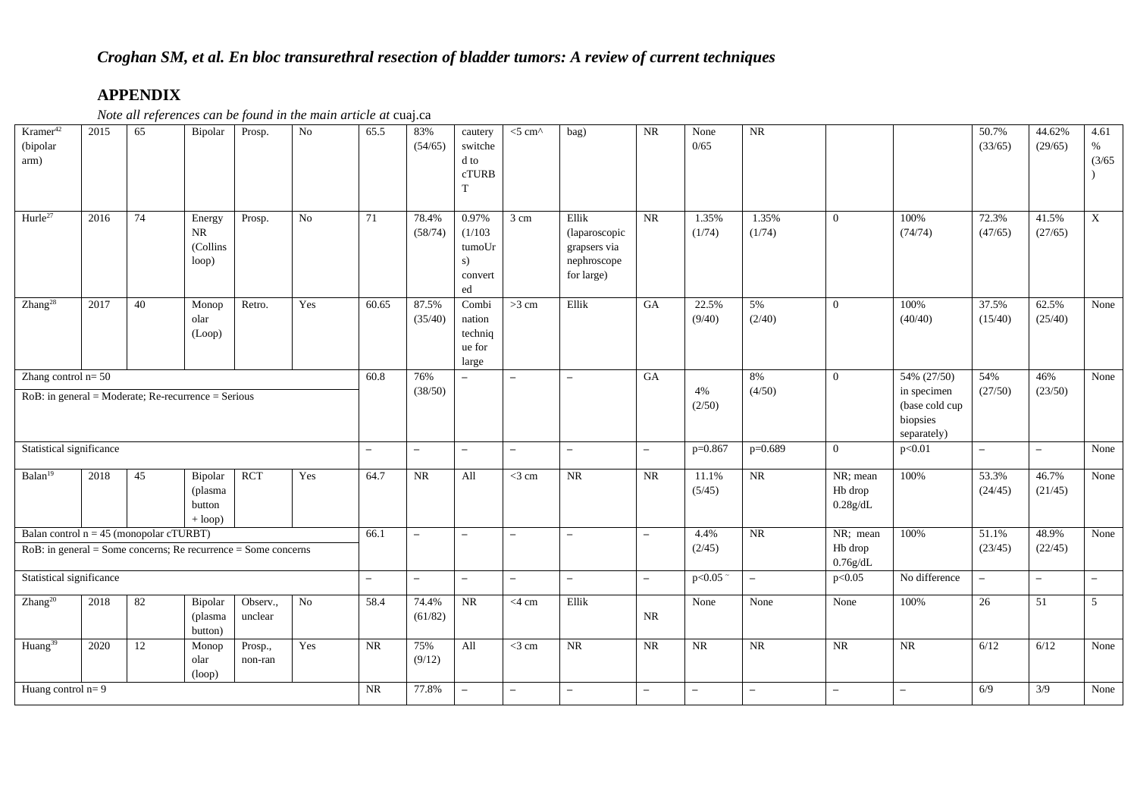# *Croghan SM, et al. En bloc transurethral resection of bladder tumors: A review of current techniques*

# **APPENDIX**

| Kramer <sup>42</sup><br>(bipolar<br>arm)                          | 2015                                                                                                       | 65 | Bipolar                                      | Prosp.              | N <sub>o</sub> | 65.5                     | 83%<br>(54/65)           | cautery<br>switche<br>d to<br>cTURB<br>T          | $<$ 5 cm $\wedge$        | bag)                                                                | NR                       | None<br>0/65    | $\rm NR$                 |                                 |                                                                         | 50.7%<br>(33/65)         | 44.62%<br>(29/65)        | 4.61<br>$\%$<br>(3/65)   |
|-------------------------------------------------------------------|------------------------------------------------------------------------------------------------------------|----|----------------------------------------------|---------------------|----------------|--------------------------|--------------------------|---------------------------------------------------|--------------------------|---------------------------------------------------------------------|--------------------------|-----------------|--------------------------|---------------------------------|-------------------------------------------------------------------------|--------------------------|--------------------------|--------------------------|
| Hurle <sup>27</sup>                                               | 2016                                                                                                       | 74 | Energy<br>NR<br>(Collins<br>loop)            | Prosp.              | No             | 71                       | 78.4%<br>(58/74)         | 0.97%<br>(1/103)<br>tumoUr<br>s)<br>convert<br>ed | 3 cm                     | Ellik<br>(laparoscopic<br>grapsers via<br>nephroscope<br>for large) | <b>NR</b>                | 1.35%<br>(1/74) | 1.35%<br>(1/74)          | $\overline{0}$                  | 100%<br>(74/74)                                                         | 72.3%<br>(47/65)         | 41.5%<br>(27/65)         | $\mathbf X$              |
| Zhang <sup>28</sup>                                               | 2017                                                                                                       | 40 | Monop<br>olar<br>(Loop)                      | Retro.              | Yes            | 60.65                    | 87.5%<br>(35/40)         | Combi<br>nation<br>techniq<br>ue for<br>large     | >3 cm                    | Ellik                                                               | GA                       | 22.5%<br>(9/40) | 5%<br>(2/40)             | $\overline{0}$                  | 100%<br>(40/40)                                                         | 37.5%<br>(15/40)         | 62.5%<br>(25/40)         | None                     |
|                                                                   | Zhang control $n=50$<br>$RoB$ : in general = Moderate; Re-recurrence = Serious<br>Statistical significance |    |                                              |                     |                |                          | 76%<br>(38/50)           | $\overline{\phantom{a}}$                          | $\overline{\phantom{m}}$ | $\equiv$                                                            | GA                       | 4%<br>(2/50)    | 8%<br>(4/50)             | $\overline{0}$                  | 54% (27/50)<br>in specimen<br>(base cold cup<br>biopsies<br>separately) | 54%<br>(27/50)           | 46%<br>(23/50)           | None                     |
|                                                                   |                                                                                                            |    |                                              |                     |                | $\overline{\phantom{0}}$ | $\overline{\phantom{0}}$ | $\overline{\phantom{0}}$                          | $\overline{\phantom{a}}$ | $\equiv$                                                            | $\overline{\phantom{a}}$ | $p=0.867$       | $p=0.689$                | $\Omega$                        | p<0.01                                                                  | $\overline{\phantom{m}}$ | $\equiv$                 | None                     |
| Balan <sup>19</sup>                                               | 2018                                                                                                       | 45 | Bipolar<br>(plasma<br>button<br>$+$ loop $)$ | <b>RCT</b>          | Yes            | 64.7                     | NR                       | All                                               | $<$ 3 cm                 | <b>NR</b>                                                           | NR                       | 11.1%<br>(5/45) | NR                       | NR; mean<br>Hb drop<br>0.28g/dL | 100%                                                                    | 53.3%<br>(24/45)         | 46.7%<br>(21/45)         | $\overline{\text{None}}$ |
| Balan control $n = 45$ (monopolar cTURBT)                         |                                                                                                            |    |                                              |                     |                | 66.1                     | $\overline{\phantom{0}}$ | $\overline{\phantom{0}}$                          | $\overline{\phantom{m}}$ | $\equiv$                                                            | $\overline{\phantom{m}}$ | 4.4%            | NR                       | $NR$ ; mean                     | 100%                                                                    | 51.1%                    | 48.9%                    | None                     |
| $RoB$ : in general = Some concerns; Re recurrence = Some concerns |                                                                                                            |    |                                              |                     |                |                          |                          |                                                   |                          |                                                                     |                          | (2/45)          |                          | Hb drop<br>0.76g/dL             |                                                                         | (23/45)                  | (22/45)                  |                          |
| Statistical significance                                          |                                                                                                            |    |                                              |                     |                | $\overline{\phantom{0}}$ | $\overline{\phantom{0}}$ | $\equiv$                                          | $\overline{\phantom{a}}$ | $-$                                                                 | $\overline{\phantom{a}}$ | p<0.05          | $\overline{\phantom{0}}$ | p<0.05                          | No difference                                                           | $\overline{\phantom{a}}$ | $\overline{\phantom{a}}$ | $-$                      |
| Zhang <sup>20</sup>                                               | 2018                                                                                                       | 82 | Bipolar<br>(plasma<br>button)                | Observ.,<br>unclear | No             | 58.4                     | 74.4%<br>(61/82)         | $\rm NR$                                          | $<$ 4 cm                 | Ellik                                                               | <b>NR</b>                | None            | None                     | None                            | 100%                                                                    | 26                       | 51                       | 5 <sup>5</sup>           |
| Huang <sup>39</sup>                                               | 2020                                                                                                       | 12 | Monop<br>olar<br>(log                        | Prosp.,<br>non-ran  | Yes            | NR                       | 75%<br>(9/12)            | All                                               | $<$ 3 cm                 | NR                                                                  | NR                       | $\rm NR$        | NR                       | NR                              | NR                                                                      | 6/12                     | 6/12                     | None                     |
| Huang control $n=9$                                               |                                                                                                            |    |                                              |                     |                | $\rm NR$                 | 77.8%                    | $\overline{\phantom{0}}$                          | $\overline{\phantom{m}}$ | $\equiv$                                                            | $\overline{\phantom{0}}$ | $-$             | $\overline{\phantom{0}}$ | $-$                             | $\overline{\phantom{0}}$                                                | 6/9                      | 3/9                      | None                     |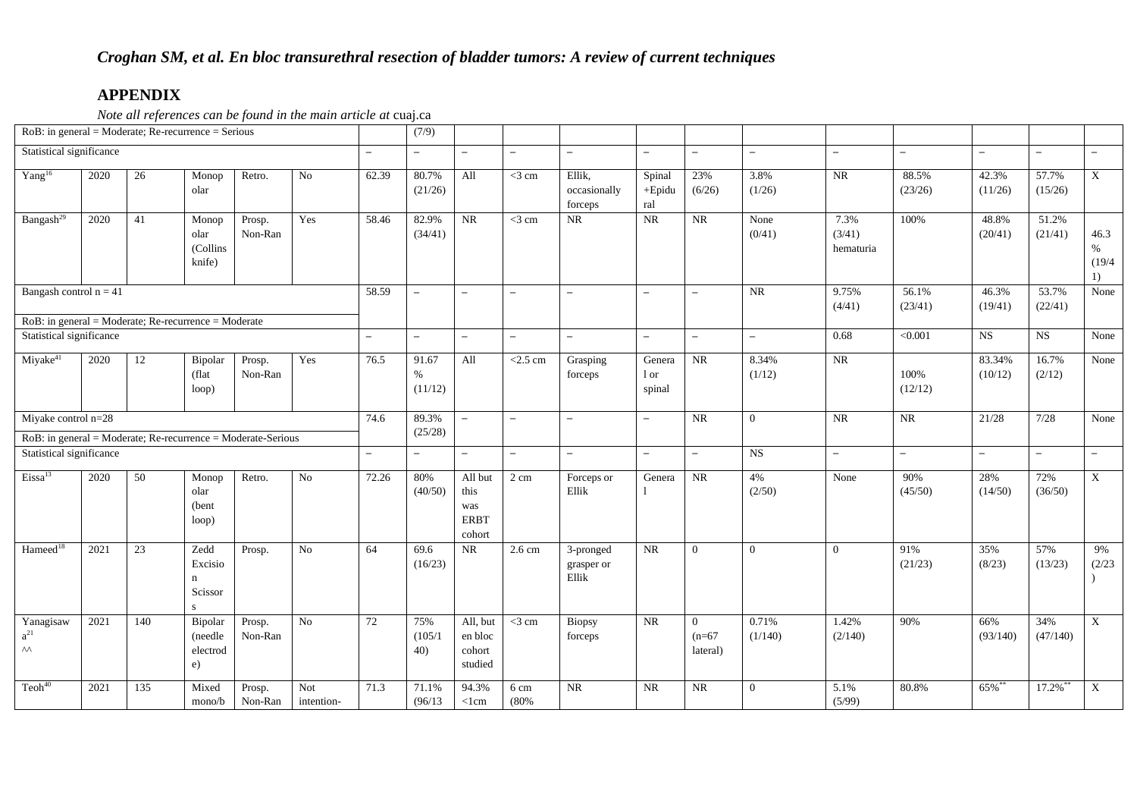*Note all references can be found in the main article at* cuaj.ca

| $RoB$ : in general = Moderate; Re-recurrence = Serious                              |                                                                                            |    |                                                 |                                                              |            |                          | (7/9)                                    |                                                 |                          |                                   |                                        |                          |                          |                             |                   |                          |                          |                           |
|-------------------------------------------------------------------------------------|--------------------------------------------------------------------------------------------|----|-------------------------------------------------|--------------------------------------------------------------|------------|--------------------------|------------------------------------------|-------------------------------------------------|--------------------------|-----------------------------------|----------------------------------------|--------------------------|--------------------------|-----------------------------|-------------------|--------------------------|--------------------------|---------------------------|
| Statistical significance                                                            |                                                                                            |    |                                                 |                                                              |            | $-$                      | $\overline{\phantom{0}}$                 | $-$                                             | $\overline{\phantom{m}}$ | $\overline{\phantom{a}}$          | $\overline{\phantom{0}}$               | $\overline{\phantom{a}}$ | $\overline{\phantom{0}}$ | $\overline{\phantom{a}}$    | $\equiv$          | $\overline{\phantom{0}}$ | $\overline{\phantom{a}}$ | $\overline{\phantom{m}}$  |
| Yang <sup>16</sup>                                                                  | 2020                                                                                       | 26 | Monop<br>olar                                   | Retro.                                                       | No         | 62.39                    | 80.7%<br>(21/26)                         | All                                             | $<$ 3 cm                 | Ellik,<br>occasionally<br>forceps | Spinal<br>$+Epidu$<br>ral              | 23%<br>(6/26)            | 3.8%<br>(1/26)           | $\rm NR$                    | 88.5%<br>(23/26)  | 42.3%<br>(11/26)         | 57.7%<br>(15/26)         | $\mathbf X$               |
| Bangash <sup>29</sup>                                                               | 2020                                                                                       | 41 | Monop<br>olar<br>(Collins<br>knife)             | Proof.<br>Non-Ran                                            | Yes        | 58.46                    | 82.9%<br>(34/41)                         | NR                                              | $<$ 3 cm                 | <b>NR</b>                         | NR                                     | NR                       | None<br>(0/41)           | 7.3%<br>(3/41)<br>hematuria | 100%              | 48.8%<br>(20/41)         | 51.2%<br>(21/41)         | 46.3<br>%<br>(19/4)<br>1) |
| Bangash control $n = 41$                                                            |                                                                                            |    |                                                 |                                                              |            | 58.59                    | $\overline{\phantom{0}}$                 | $\equiv$                                        | $\overline{\phantom{m}}$ | $\overline{\phantom{m}}$          | $\overline{\phantom{m}}$               | $\overline{\phantom{a}}$ | $\rm NR$                 | 9.75%<br>(4/41)             | 56.1%<br>(23/41)  | 46.3%<br>(19/41)         | 53.7%<br>(22/41)         | None                      |
| $RoB$ : in general = Moderate; Re-recurrence = Moderate<br>Statistical significance |                                                                                            |    |                                                 |                                                              |            | $\equiv$                 | $\overline{\phantom{0}}$                 | $\overline{\phantom{0}}$                        | $\qquad \qquad -$        |                                   | $\overline{\phantom{0}}$               | $\overline{\phantom{0}}$ | $\equiv$                 | 0.68                        | $\sqrt{0.001}$    | $\overline{\text{NS}}$   | NS                       | None                      |
| Miyake <sup>41</sup>                                                                | Yes<br>2020<br>12<br>Prosp.<br>Bipolar<br>Non-Ran<br>(flat<br>loop)<br>Miyake control n=28 |    |                                                 |                                                              | 76.5       | 91.67<br>$\%$<br>(11/12) | All                                      | $<$ 2.5 cm                                      | Grasping<br>forceps      | Genera<br>1 or<br>spinal          | NR                                     | 8.34%<br>(1/12)          | NR                       | 100%<br>(12/12)             | 83.34%<br>(10/12) | 16.7%<br>(2/12)          | None                     |                           |
|                                                                                     |                                                                                            |    |                                                 |                                                              |            | 74.6                     | 89.3%                                    | $\overline{\phantom{a}}$                        | $\overline{\phantom{a}}$ | $\overline{\phantom{a}}$          | $\overline{\phantom{m}}$               | NR                       | $\overline{0}$           | $\rm NR$                    | $\rm NR$          | 21/28                    | 7/28                     | None                      |
|                                                                                     |                                                                                            |    |                                                 | RoB: in general = Moderate; Re-recurrence = Moderate-Serious |            |                          | (25/28)                                  |                                                 |                          |                                   |                                        |                          |                          |                             |                   |                          |                          |                           |
| Statistical significance                                                            |                                                                                            |    |                                                 |                                                              |            | $\equiv$                 | $\equiv$                                 | $\equiv$                                        | $\overline{\phantom{0}}$ | $\equiv$                          | $\overline{\phantom{0}}$               | $\equiv$                 | <b>NS</b>                | $\overline{\phantom{a}}$    | $\equiv$          | $\equiv$                 | $\equiv$                 | $\equiv$                  |
| Eissa <sup>13</sup>                                                                 | 2020<br>50<br>Retro.<br>$\rm No$<br>Monop<br>olar<br>(bent)<br>loop)                       |    |                                                 |                                                              |            | 72.26                    | 80%<br>(40/50)                           | All but<br>this<br>was<br><b>ERBT</b><br>cohort | 2 cm                     | Forceps or<br>Ellik               | Genera                                 | NR                       | 4%<br>(2/50)             | None                        | 90%<br>(45/50)    | 28%<br>(14/50)           | 72%<br>(36/50)           | $\mathbf X$               |
| Hameed <sup>18</sup>                                                                | 2021                                                                                       | 23 | Zedd<br>Excisio<br>n<br>Scissor<br>$\mathbf{s}$ | Prosp.                                                       | No         | 64                       | 69.6<br>(16/23)                          | NR                                              | 2.6 cm                   | 3-pronged<br>grasper or<br>Ellik  | <b>NR</b>                              | $\overline{0}$           | $\overline{0}$           | $\overline{0}$              | 91%<br>(21/23)    | 35%<br>(8/23)            | 57%<br>(13/23)           | 9%<br>(2/23)              |
| Yanagisaw<br>$\mathrm{a}^{21}$<br>$\wedge\wedge$                                    | 2021<br>Prosp.<br>$\rm No$<br>140<br>Bipolar<br>Non-Ran<br>(needle<br>electrod<br>e)       |    |                                                 |                                                              | 72         | 75%<br>(105/1)<br>40)    | All, but<br>en bloc<br>cohort<br>studied | $<$ 3 cm                                        | <b>Biopsy</b><br>forceps | NR                                | $\overline{0}$<br>$(n=67)$<br>lateral) | 0.71%<br>(1/140)         | 1.42%<br>(2/140)         | 90%                         | 66%<br>(93/140)   | 34%<br>(47/140)          | X                        |                           |
| Teoh <sup>40</sup>                                                                  | Not<br>2021<br>135<br>Mixed<br>Prosp.<br>Non-Ran<br>mono/b                                 |    |                                                 |                                                              | intention- | 71.3                     | 71.1%<br>(96/13)                         | 94.3%<br><1cm                                   | 6 cm<br>(80%             | NR                                | NR                                     | $\rm NR$                 | $\overline{0}$           | 5.1%<br>(5/99)              | 80.8%             | 65%**                    | 17.2%**                  | $\boldsymbol{\mathrm{X}}$ |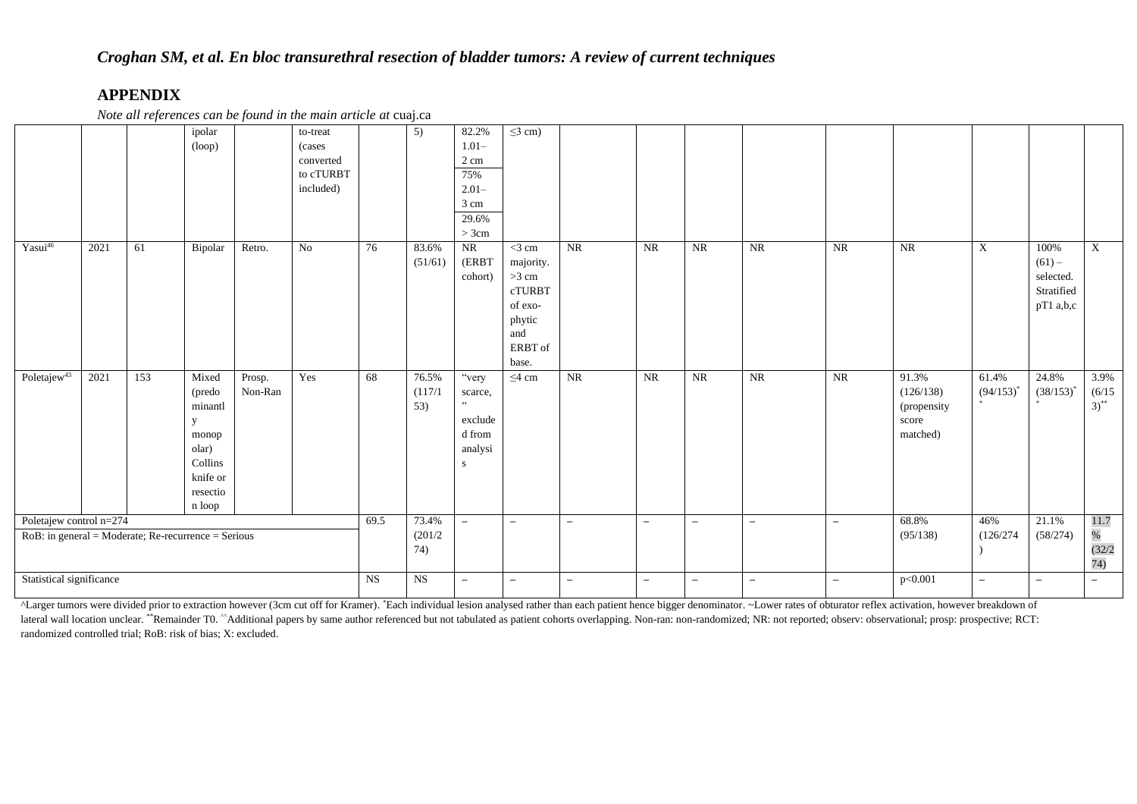*Note all references can be found in the main article at* cuaj.ca

|                                                                                   |                          |     | ipolar<br>(log                                                                                 |                         | to-treat<br>(cases)<br>converted<br>to cTURBT<br>included) |                          | $\overline{5)}$          | 82.2%<br>$1.01 -$<br>2 cm<br>75%<br>$2.01 -$<br>3 cm<br>29.6%<br>>3cm | $\leq$ 3 cm)                                                                                      |                          |                          |                   |                          |                          |                                                        |                           |                                                            |                             |
|-----------------------------------------------------------------------------------|--------------------------|-----|------------------------------------------------------------------------------------------------|-------------------------|------------------------------------------------------------|--------------------------|--------------------------|-----------------------------------------------------------------------|---------------------------------------------------------------------------------------------------|--------------------------|--------------------------|-------------------|--------------------------|--------------------------|--------------------------------------------------------|---------------------------|------------------------------------------------------------|-----------------------------|
| Yasui46                                                                           | 2021                     | 61  | Bipolar                                                                                        | Retro.                  | No                                                         | 76                       | 83.6%<br>(51/61)         | NR<br>(ERBT<br>cohort)                                                | $<$ 3 cm<br>majority.<br>$>3$ cm<br><b>cTURBT</b><br>of exo-<br>phytic<br>and<br>ERBT of<br>base. | NR                       | <b>NR</b>                | $\rm NR$          | NR                       | $\overline{\text{NR}}$   | NR                                                     | $\boldsymbol{\mathrm{X}}$ | 100%<br>$(61) -$<br>selected.<br>Stratified<br>$pT1$ a,b,c | $\mathbf X$                 |
| Poletaje $w^{43}$                                                                 | 2021                     | 153 | Mixed<br>(predo<br>minantl<br>y<br>monop<br>olar)<br>Collins<br>knife or<br>resectio<br>n loop | Prosp.<br>Non-Ran       | Yes                                                        | 68                       | 76.5%<br>(117/1)<br>53)  | "very<br>scarce,<br>, ,<br>exclude<br>d from<br>analysi<br>-S         | $\leq$ 4 cm                                                                                       | NR                       | NR                       | NR                | NR                       | NR                       | 91.3%<br>(126/138)<br>(propensity<br>score<br>matched) | 61.4%<br>$(94/153)^{*}$   | 24.8%<br>$(38/153)^{*}$                                    | 3.9%<br>(6/15)<br>$3)^{**}$ |
| Poletajew control n=274<br>$RoB$ : in general = Moderate; Re-recurrence = Serious |                          |     | 69.5                                                                                           | 73.4%<br>(201/2)<br>74) | $\equiv$                                                   | $\overline{\phantom{a}}$ | $\overline{\phantom{m}}$ | $\overline{\phantom{m}}$                                              | $\overline{\phantom{0}}$                                                                          | $\overline{\phantom{a}}$ | $\overline{\phantom{m}}$ | 68.8%<br>(95/138) | 46%<br>(126/274)         | 21.1%<br>(58/274)        | 11.7<br>$\%$<br>(32/2)<br>74)                          |                           |                                                            |                             |
|                                                                                   | Statistical significance |     |                                                                                                |                         |                                                            |                          |                          | $\overline{\phantom{0}}$                                              | $\overline{\phantom{m}}$                                                                          | $\overline{\phantom{m}}$ | $\overline{\phantom{m}}$ | $\qquad \qquad -$ | $\overline{\phantom{a}}$ | $\overline{\phantom{0}}$ | p<0.001                                                | $\overline{\phantom{m}}$  | $\equiv$                                                   | $\overline{\phantom{0}}$    |

ALarger tumors were divided prior to extraction however (3cm cut off for Kramer). \*Each individual lesion analysed rather than each patient hence bigger denominator. ~Lower rates of obturator reflex activation, however bre lateral wall location unclear. \*\*Remainder T0. ^^Additional papers by same author referenced but not tabulated as patient cohorts overlapping. Non-ran: non-randomized; NR: not reported; observ: observational; prosp: prospe randomized controlled trial; RoB: risk of bias; X: excluded.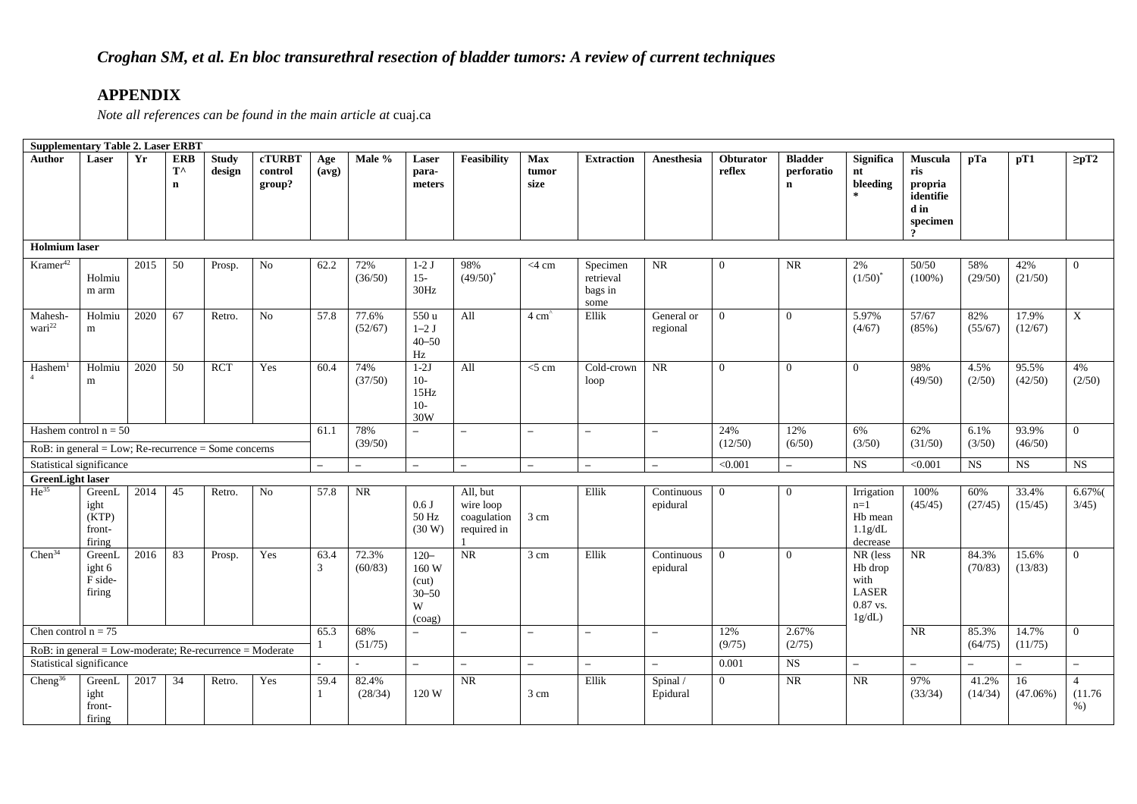|                               | <b>Supplementary Table 2. Laser ERBT</b>                    |      |                                           |                        |                                    |                          |                  |                                                      |                                                     |                          |                                          |                          |                     |                                             |                                                                                |                                                                   |                          |                   |                                    |
|-------------------------------|-------------------------------------------------------------|------|-------------------------------------------|------------------------|------------------------------------|--------------------------|------------------|------------------------------------------------------|-----------------------------------------------------|--------------------------|------------------------------------------|--------------------------|---------------------|---------------------------------------------|--------------------------------------------------------------------------------|-------------------------------------------------------------------|--------------------------|-------------------|------------------------------------|
| <b>Author</b>                 | Laser                                                       | Yr   | <b>ERB</b><br>$T^{\wedge}$<br>$\mathbf n$ | <b>Study</b><br>design | <b>cTURBT</b><br>control<br>group? | Age<br>(avg)             | Male %           | Laser<br>para-<br>meters                             | <b>Feasibility</b>                                  | Max<br>tumor<br>size     | <b>Extraction</b>                        | Anesthesia               | Obturator<br>reflex | <b>Bladder</b><br>perforatio<br>$\mathbf n$ | <b>Significa</b><br>nt<br>bleeding                                             | <b>Muscula</b><br>ris<br>propria<br>identifie<br>d in<br>specimen | pTa                      | pT1               | $\geq pT2$                         |
| <b>Holmium</b> laser          |                                                             |      |                                           |                        |                                    |                          |                  |                                                      |                                                     |                          |                                          |                          |                     |                                             |                                                                                |                                                                   |                          |                   |                                    |
| Kramer <sup>42</sup>          | Holmiu<br>m arm                                             | 2015 | 50                                        | Prosp.                 | No                                 | 62.2                     | 72%<br>(36/50)   | $1-2J$<br>$15 -$<br>30Hz                             | 98%<br>$(49/50)^*$                                  | $<$ 4 cm                 | Specimen<br>retrieval<br>bags in<br>some | NR                       | $\overline{0}$      | NR                                          | 2%<br>$(1/50)^{*}$                                                             | 50/50<br>$(100\%)$                                                | 58%<br>(29/50)           | 42%<br>(21/50)    | $\Omega$                           |
| Mahesh-<br>wari <sup>22</sup> | Holmiu<br>m                                                 | 2020 | 67                                        | Retro.                 | No                                 | 57.8                     | 77.6%<br>(52/67) | 550 u<br>$1-2$ J<br>$40 - 50$<br>Hz                  | All                                                 | $4 \text{ cm}^2$         | Ellik                                    | General or<br>regional   | $\overline{0}$      | $\Omega$                                    | 5.97%<br>(4/67)                                                                | 57/67<br>(85%)                                                    | 82%<br>(55/67)           | 17.9%<br>(12/67)  | X                                  |
| Hashem <sup>1</sup>           | Holmiu<br>m                                                 | 2020 | 50                                        | <b>RCT</b>             | Yes                                | 60.4                     | 74%<br>(37/50)   | $1-2J$<br>$10-$<br>15Hz<br>$10-$<br>30W              | All                                                 | $<$ 5 cm                 | Cold-crown<br>loop                       | NR                       | $\overline{0}$      | $\overline{0}$                              | $\overline{0}$                                                                 | 98%<br>(49/50)                                                    | 4.5%<br>(2/50)           | 95.5%<br>(42/50)  | 4%<br>(2/50)                       |
|                               | Hashem control $n = 50$                                     |      |                                           |                        |                                    | 61.1                     | 78%              | $-$                                                  | $\overline{\phantom{0}}$                            | $\overline{\phantom{m}}$ | $\overline{\phantom{0}}$                 | $\equiv$                 | 24%                 | 12%                                         | 6%                                                                             | 62%                                                               | $6.1\%$                  | 93.9%             | $\Omega$                           |
|                               | $RoB$ : in general = Low; Re-recurrence = Some concerns     |      |                                           |                        |                                    |                          | (39/50)          |                                                      |                                                     |                          |                                          |                          | (12/50)             | (6/50)                                      | (3/50)                                                                         | (31/50)                                                           | (3/50)                   | (46/50)           |                                    |
|                               | Statistical significance                                    |      |                                           |                        |                                    | $\overline{\phantom{a}}$ | $-$              | $-$                                                  | $\overline{\phantom{a}}$                            | $\overline{\phantom{a}}$ | $\overline{\phantom{0}}$                 | $\overline{\phantom{0}}$ | < 0.001             | $-$                                         | <b>NS</b>                                                                      | < 0.001                                                           | NS                       | <b>NS</b>         | <b>NS</b>                          |
| <b>GreenLight laser</b>       |                                                             |      |                                           |                        |                                    |                          |                  |                                                      |                                                     |                          |                                          |                          |                     |                                             |                                                                                |                                                                   |                          |                   |                                    |
| $He^{35}$                     | GreenL<br>ight<br>(KTP)<br>front-<br>firing                 | 2014 | 45                                        | Retro.                 | N <sub>o</sub>                     | 57.8                     | NR               | 0.6 J<br>50 Hz<br>(30 W)                             | All, but<br>wire loop<br>coagulation<br>required in | 3 cm                     | Ellik                                    | Continuous<br>epidural   | $\overline{0}$      | $\Omega$                                    | Irrigation<br>$n=1$<br>Hb mean<br>1.1g/dL<br>decrease                          | 100%<br>(45/45)                                                   | 60%<br>(27/45)           | 33.4%<br>(15/45)  | 6.67%<br>$3/45$ )                  |
| Chen <sup>34</sup>            | GreenL<br>ight $6$<br>F side-<br>firing                     | 2016 | 83                                        | Prosp.                 | Yes                                | 63.4<br>3                | 72.3%<br>(60/83) | $120 -$<br>160 W<br>(cut)<br>$30 - 50$<br>W<br>(cog) | NR                                                  | 3 cm                     | Ellik                                    | Continuous<br>epidural   | $\overline{0}$      | $\Omega$                                    | NR (less<br>H <sub>b</sub> drop<br>with<br><b>LASER</b><br>$0.87$ vs.<br>1g/dL | NR                                                                | 84.3%<br>(70/83)         | 15.6%<br>(13/83)  | $\theta$                           |
| Chen control $n = 75$         | $RoB$ : in general = Low-moderate; Re-recurrence = Moderate |      |                                           |                        |                                    | 65.3                     | 68%<br>(51/75)   | $\overline{\phantom{0}}$                             | $\overline{\phantom{0}}$                            | $\overline{\phantom{a}}$ | $\overline{\phantom{0}}$                 | $\overline{\phantom{0}}$ | 12%<br>(9/75)       | 2.67%<br>(2/75)                             |                                                                                | NR                                                                | 85.3%<br>(64/75)         | 14.7%<br>(11/75)  | $\Omega$                           |
|                               | Statistical significance                                    |      |                                           |                        |                                    |                          |                  | $\overline{\phantom{0}}$                             | $\overline{\phantom{m}}$                            | $\overline{\phantom{0}}$ | $\overline{\phantom{0}}$                 | $\overline{\phantom{0}}$ | 0.001               | NS                                          | $\overline{\phantom{a}}$                                                       | $\overline{\phantom{0}}$                                          | $\overline{\phantom{a}}$ |                   |                                    |
| Cheng <sup>36</sup>           | GreenL<br>ight<br>front-<br>firing                          | 2017 | 34                                        | Retro.                 | Yes                                | 59.4                     | 82.4%<br>(28/34) | 120 W                                                | NR                                                  | 3 cm                     | Ellik                                    | Spinal /<br>Epidural     | $\overline{0}$      | <b>NR</b>                                   | <b>NR</b>                                                                      | 97%<br>(33/34)                                                    | 41.2%<br>(14/34)         | 16<br>$(47.06\%)$ | $\overline{4}$<br>(11.76)<br>$%$ ) |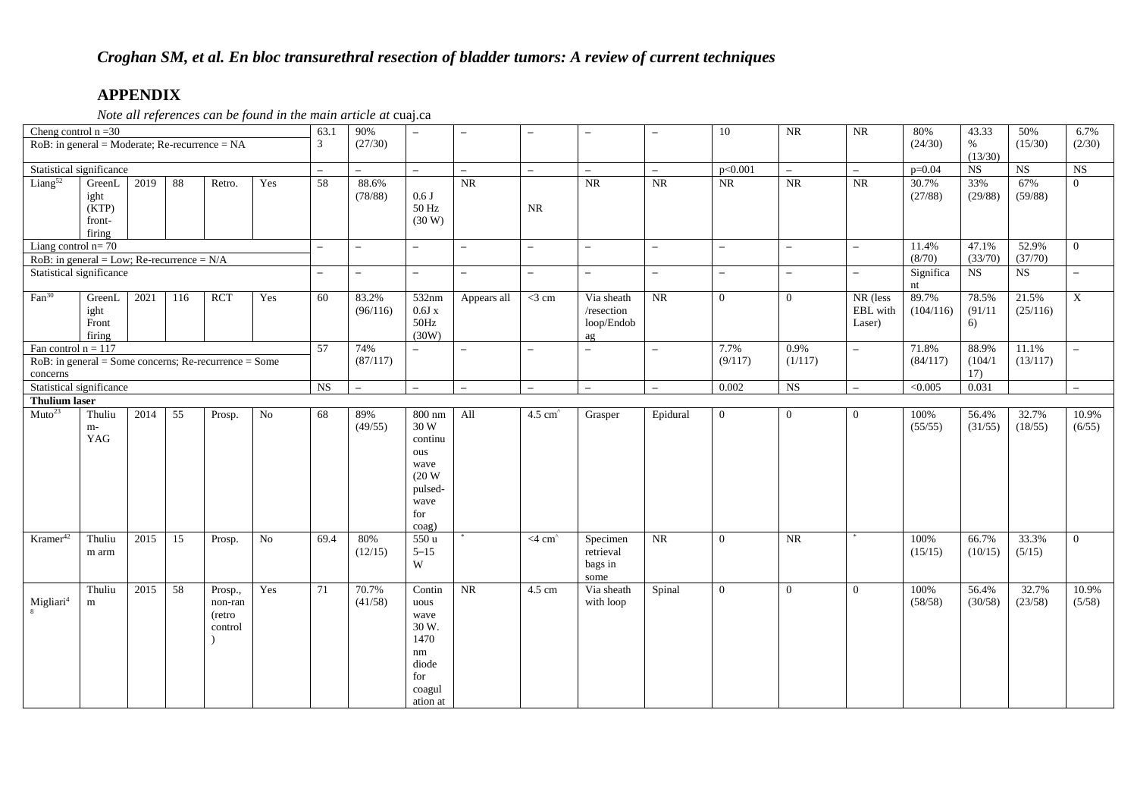| Cheng control $n = 30$                                                                                |                                                                                                  |      |     |                                                   |     | 63.1           | 90%                                                                                     |                                                                                     |                          |                          |                                              |                          | $10\,$                   | $\rm NR$                 | $\rm NR$                       | 80%                | 43.33                  | 50%                    | 6.7%            |
|-------------------------------------------------------------------------------------------------------|--------------------------------------------------------------------------------------------------|------|-----|---------------------------------------------------|-----|----------------|-----------------------------------------------------------------------------------------|-------------------------------------------------------------------------------------|--------------------------|--------------------------|----------------------------------------------|--------------------------|--------------------------|--------------------------|--------------------------------|--------------------|------------------------|------------------------|-----------------|
|                                                                                                       |                                                                                                  |      |     | $RoB$ : in general = Moderate; Re-recurrence = NA |     | 3              | (27/30)                                                                                 |                                                                                     |                          |                          |                                              |                          |                          |                          |                                | (24/30)            | $\%$<br>(13/30)        | (15/30)                | (2/30)          |
| Statistical significance                                                                              |                                                                                                  |      |     |                                                   |     | $\equiv$       | $\equiv$                                                                                | $\equiv$                                                                            | $\equiv$                 | $\equiv$                 | $\equiv$                                     | $\equiv$                 | p<0.001                  | $\equiv$                 | $\sim$                         | $p=0.04$           | <b>NS</b>              | NS                     | NS              |
| $Liang^{52}$                                                                                          | GreenL<br>ight<br>(KTP)<br>front-<br>firing                                                      | 2019 | 88  | Retro.                                            | Yes | 58             | 88.6%<br>(78/88)                                                                        | 0.6 J<br>50 Hz<br>(30 W)                                                            | <b>NR</b>                | NR                       | <b>NR</b>                                    | $\rm NR$                 | <b>NR</b>                | <b>NR</b>                | NR                             | 30.7%<br>(27/88)   | 33%<br>(29/88)         | 67%<br>(59/88)         | $\Omega$        |
| Liang control $n=70$                                                                                  |                                                                                                  |      |     |                                                   |     | $\equiv$       | $\overline{\phantom{0}}$                                                                | $-$                                                                                 | $\overline{\phantom{0}}$ | $\overline{\phantom{a}}$ | $\overline{\phantom{0}}$                     | $\overline{\phantom{0}}$ | $\overline{\phantom{0}}$ | $\equiv$                 | $\overline{\phantom{a}}$       | 11.4%              | 47.1%                  | 52.9%                  | $\Omega$        |
| RoB: in general = Low; Re-recurrence = $N/A$                                                          |                                                                                                  |      |     |                                                   |     |                |                                                                                         |                                                                                     |                          |                          |                                              |                          |                          |                          |                                | (8/70)             | (33/70)                | (37/70)                |                 |
| Statistical significance                                                                              |                                                                                                  |      |     |                                                   |     | $\equiv$       | $\equiv$                                                                                | $\overline{\phantom{0}}$                                                            | $\equiv$                 | $\overline{\phantom{a}}$ | $\equiv$                                     | $\overline{\phantom{m}}$ | $\overline{\phantom{0}}$ | $\overline{\phantom{0}}$ | $\equiv$                       | Significa<br>nt    | <b>NS</b>              | $\overline{\text{NS}}$ | $\equiv$        |
| $Fan^{30}$                                                                                            | GreenL<br>ight<br>Front<br>firing                                                                | 2021 | 116 | <b>RCT</b>                                        | Yes | 60             | 83.2%<br>(96/116)                                                                       | 532nm<br>0.6Jx<br>$50\mathrm{Hz}$<br>(30W)                                          | Appears all              | $<$ 3 cm                 | Via sheath<br>/resection<br>loop/Endob<br>ag | $\rm NR$                 | $\overline{0}$           | $\overline{0}$           | NR (less<br>EBL with<br>Laser) | 89.7%<br>(104/116) | 78.5%<br>(91/11)<br>6) | 21.5%<br>(25/116)      | $\mathbf X$     |
| Fan control $n = 117$                                                                                 |                                                                                                  |      |     |                                                   |     | 57             | 74%                                                                                     | $\equiv$                                                                            | $\equiv$                 | $\equiv$                 | $\overline{\phantom{0}}$                     | $\equiv$                 | 7.7%                     | 0.9%                     | $\equiv$                       | 71.8%              | 88.9%                  | 11.1%                  | $\equiv$        |
|                                                                                                       | $RoB$ : in general = Some concerns; Re-recurrence = Some<br>concerns<br>Statistical significance |      |     |                                                   |     |                | (87/117)                                                                                |                                                                                     |                          |                          |                                              |                          | (9/117)                  | (1/117)                  |                                | (84/117)           | (104/1)<br>17)         | (13/117)               |                 |
|                                                                                                       |                                                                                                  |      |     |                                                   |     | <b>NS</b>      | $\sim$                                                                                  | $\equiv$                                                                            | $\equiv$                 | $\overline{\phantom{a}}$ | $\overline{\phantom{a}}$                     | $\overline{\phantom{a}}$ | 0.002                    | NS                       | $\equiv$                       | < 0.005            | 0.031                  |                        | $\equiv$        |
|                                                                                                       |                                                                                                  |      |     |                                                   |     |                |                                                                                         |                                                                                     |                          |                          |                                              |                          |                          |                          |                                |                    |                        |                        |                 |
| <b>Thulium laser</b><br>Muto <sup>23</sup><br>55<br>2014<br>$\rm No$<br>Thuliu<br>Prosp.<br>m-<br>YAG |                                                                                                  |      |     |                                                   | 68  | 89%<br>(49/55) | $800$ nm<br>30 W<br>continu<br>ous<br>wave<br>(20 W)<br>pulsed-<br>wave<br>for<br>coag) | All                                                                                 | $4.5 \text{ cm}^2$       | Grasper                  | Epidural                                     | $\overline{0}$           | $\overline{0}$           | $\theta$                 | 100%<br>(55/55)                | 56.4%<br>(31/55)   | 32.7%<br>(18/55)       | 10.9%<br>(6/55)        |                 |
| Kramer <sup>42</sup><br>Thuliu<br>2015<br>15<br>$\overline{No}$<br>Prosp.<br>m arm                    |                                                                                                  |      |     |                                                   |     | 69.4           | 80%<br>(12/15)                                                                          | 550u<br>$5 - 15$<br>W                                                               |                          | $<$ 4 cm $\degree$       | Specimen<br>retrieval<br>bags in<br>some     | $\rm NR$                 | $\overline{0}$           | $\rm NR$                 |                                | 100%<br>(15/15)    | 66.7%<br>(10/15)       | 33.3%<br>(5/15)        | $\overline{0}$  |
| 2015<br>58<br>Thuliu<br>Prosp.,<br>Yes<br>$\mathbf{Migliari}^4$<br>non-ran<br>m<br>(retro<br>control  |                                                                                                  |      |     |                                                   |     | 71             | 70.7%<br>(41/58)                                                                        | Contin<br>uous<br>wave<br>30 W.<br>1470<br>nm<br>diode<br>for<br>coagul<br>ation at | NR                       | 4.5 cm                   | Via sheath<br>with loop                      | Spinal                   | $\overline{0}$           | $\overline{0}$           | $\theta$                       | 100%<br>(58/58)    | 56.4%<br>(30/58)       | 32.7%<br>(23/58)       | 10.9%<br>(5/58) |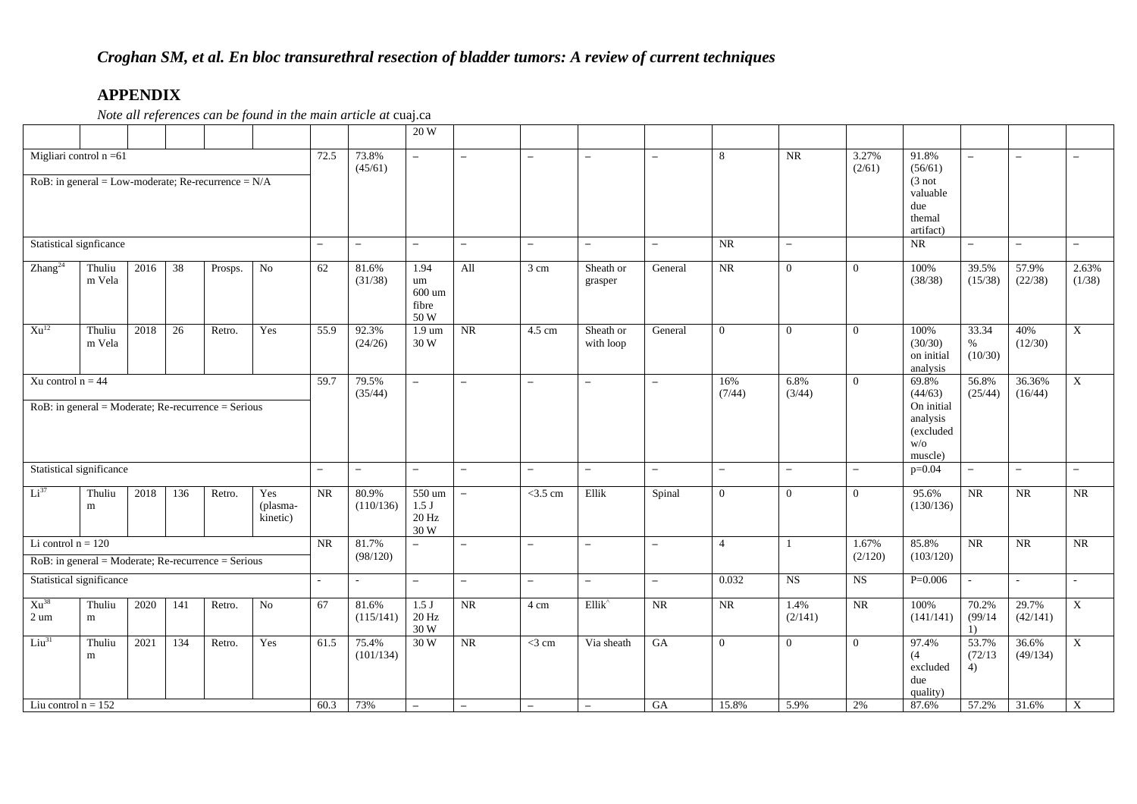|                             |                  |      |     |                                                          |                             |                   |                    | 20 W                                        |                          |                          |                          |                          |                |                 |                  |                                                       |                          |                          |                           |
|-----------------------------|------------------|------|-----|----------------------------------------------------------|-----------------------------|-------------------|--------------------|---------------------------------------------|--------------------------|--------------------------|--------------------------|--------------------------|----------------|-----------------|------------------|-------------------------------------------------------|--------------------------|--------------------------|---------------------------|
| Migliari control $n = 61$   |                  |      |     | $RoB$ : in general = Low-moderate; Re-recurrence = $N/A$ |                             | 72.5              | 73.8%<br>(45/61)   | $\equiv$                                    | $\overline{\phantom{m}}$ | $\overline{\phantom{0}}$ | $\overline{\phantom{0}}$ | $\overline{\phantom{a}}$ | 8              | <b>NR</b>       | 3.27%<br>(2/61)  | 91.8%<br>(56/61)<br>(3 not)                           | $\equiv$                 | $\overline{\phantom{m}}$ | $\overline{\phantom{a}}$  |
|                             |                  |      |     |                                                          |                             |                   |                    |                                             |                          |                          |                          |                          |                |                 |                  | valuable<br>due<br>themal<br>artifact)                |                          |                          |                           |
| Statistical signficance     |                  |      |     |                                                          |                             | $\equiv$          | $-$                | $\overline{\phantom{0}}$                    | $\overline{\phantom{0}}$ | $\overline{\phantom{0}}$ | $\overline{\phantom{0}}$ | $\overline{\phantom{a}}$ | NR             | $\equiv$        |                  | <b>NR</b>                                             | $\equiv$                 | $\equiv$                 | $-$                       |
| Zhang <sup>24</sup>         | Thuliu<br>m Vela | 2016 | 38  | Prosps.                                                  | $\rm No$                    | 62                | 81.6%<br>(31/38)   | 1.94<br>um<br>600 um<br>fibre<br>50 W       | All                      | 3 cm                     | Sheath or<br>grasper     | General                  | $\rm NR$       | $\overline{0}$  | $\mathbf{0}$     | 100%<br>(38/38)                                       | 39.5%<br>(15/38)         | 57.9%<br>(22/38)         | 2.63%<br>(1/38)           |
| $Xu^{12}$                   | Thuliu<br>m Vela | 2018 | 26  | Retro.                                                   | Yes                         | $\overline{55.9}$ | 92.3%<br>(24/26)   | $1.9 \text{ um}$<br>30 W                    | $\overline{\text{NR}}$   | 4.5 cm                   | Sheath or<br>with loop   | General                  | $\theta$       | $\Omega$        | $\Omega$         | 100%<br>(30/30)<br>on initial<br>analysis             | 33.34<br>$\%$<br>(10/30) | 40%<br>(12/30)           | $\mathbf X$               |
| Xu control $n = 44$         |                  |      |     |                                                          |                             | 59.7              | 79.5%<br>(35/44)   | $\overline{\phantom{0}}$                    | $\overline{\phantom{0}}$ | $\equiv$                 | $\overline{\phantom{0}}$ | $\overline{\phantom{0}}$ | 16%<br>(7/44)  | 6.8%<br>(3/44)  | $\overline{0}$   | 69.8%<br>(44/63)                                      | 56.8%<br>(25/44)         | 36.36%<br>(16/44)        | $\boldsymbol{\mathrm{X}}$ |
|                             |                  |      |     | $RoB$ : in general = Moderate; Re-recurrence = Serious   |                             |                   |                    |                                             |                          |                          |                          |                          |                |                 |                  | On initial<br>analysis<br>(excluded<br>W/O<br>muscle) |                          |                          |                           |
| Statistical significance    |                  |      |     |                                                          |                             | $\equiv$          | $\equiv$           | $\equiv$                                    | $\equiv$                 | $\overline{\phantom{0}}$ | $-$                      | $\equiv$                 | $\equiv$       | $\equiv$        | $\equiv$         | $p=0.04$                                              | $\equiv$                 | $\equiv$                 | $\equiv$                  |
| Li <sup>37</sup>            | Thuliu<br>m      | 2018 | 136 | Retro.                                                   | Yes<br>(plasma-<br>kinetic) | <b>NR</b>         | 80.9%<br>(110/136) | 550 um<br>1.5 <sub>J</sub><br>20 Hz<br>30 W | $\overline{\phantom{a}}$ | $<$ 3.5 cm               | Ellik                    | Spinal                   | $\overline{0}$ | $\Omega$        | $\Omega$         | 95.6%<br>(130/136)                                    | NR                       | <b>NR</b>                | <b>NR</b>                 |
| Li control $n = 120$        |                  |      |     |                                                          |                             | <b>NR</b>         | 81.7%<br>(98/120)  | $-$                                         | $\equiv$                 | $\overline{\phantom{0}}$ | $\equiv$                 | $\overline{\phantom{0}}$ | $\overline{4}$ | $\overline{1}$  | 1.67%<br>(2/120) | 85.8%<br>(103/120)                                    | $\overline{\text{NR}}$   | $\overline{\text{NR}}$   | <b>NR</b>                 |
|                             |                  |      |     | $RoB$ : in general = Moderate; Re-recurrence = Serious   |                             |                   |                    |                                             |                          |                          |                          |                          |                |                 |                  |                                                       |                          |                          |                           |
| Statistical significance    |                  |      |     |                                                          |                             | $\sim$            | ÷                  | $-$                                         | $\overline{\phantom{0}}$ | $\overline{\phantom{0}}$ | $\overline{\phantom{m}}$ | $-$                      | 0.032          | <b>NS</b>       | <b>NS</b>        | $P=0.006$                                             | $\sim$                   | ÷                        |                           |
| $Xu^{38}$<br>$2 \text{ um}$ | Thuliu<br>m      | 2020 | 141 | Retro.                                                   | $\rm No$                    | 67                | 81.6%<br>(115/141) | $1.5\:\rm J$<br>20 Hz<br>30 W               | <b>NR</b>                | 4 cm                     | Ellik <sup>^</sup>       | $\rm NR$                 | NR             | 1.4%<br>(2/141) | $\rm NR$         | 100%<br>(141/141)                                     | 70.2%<br>(99/14)<br>1)   | 29.7%<br>(42/141)        | $\mathbf X$               |
| $Liu^{31}$                  | Thuliu<br>m      | 2021 | 134 | Retro.                                                   | Yes                         | 61.5              | 75.4%<br>(101/134) | 30 W                                        | <b>NR</b>                | $<$ 3 cm                 | Via sheath               | GA                       | $\overline{0}$ | $\Omega$        | $\Omega$         | 97.4%<br>(4)<br>excluded<br>due<br>quality)           | 53.7%<br>(72/13)<br>4)   | 36.6%<br>(49/134)        | $\mathbf{X}$              |
| Liu control $n = 152$       |                  |      |     |                                                          |                             | 60.3              | 73%                | $\equiv$                                    | $\overline{\phantom{m}}$ |                          |                          | G A                      | 15.8%          | 5.9%            | 2%               | 87.6%                                                 | 57.2%                    | 31.6%                    | $\overline{X}$            |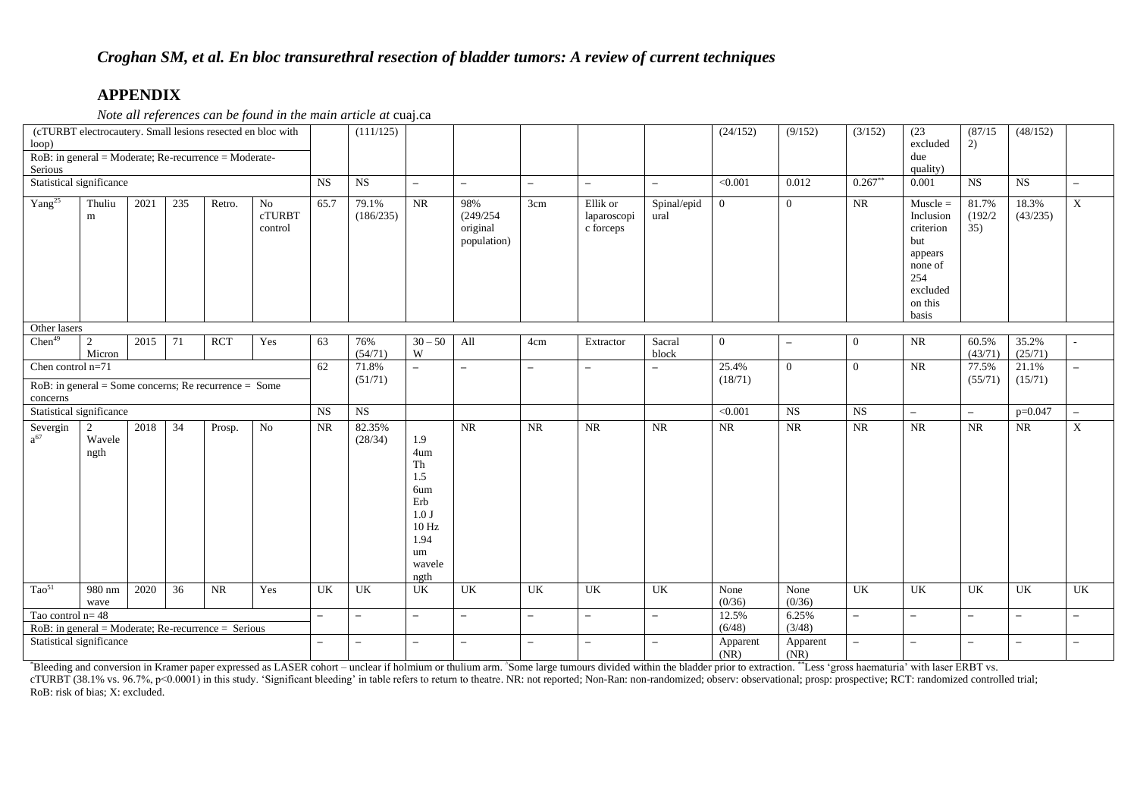*Note all references can be found in the main article at* cuaj.ca

| loop)                                                                                                       | (cTURBT electrocautery. Small lesions resected en bloc with |      |                 |            |                                |                          | (111/125)          |                                                                                                    |                                             |                          |                                      |                          | (24/152)         | (9/152)                  | (3/152)                  | (23)<br>excluded                                                                                         | (87/15)<br>2)            | (48/152)                 |                          |
|-------------------------------------------------------------------------------------------------------------|-------------------------------------------------------------|------|-----------------|------------|--------------------------------|--------------------------|--------------------|----------------------------------------------------------------------------------------------------|---------------------------------------------|--------------------------|--------------------------------------|--------------------------|------------------|--------------------------|--------------------------|----------------------------------------------------------------------------------------------------------|--------------------------|--------------------------|--------------------------|
| $RoB$ : in general = Moderate; Re-recurrence = Moderate-<br>Serious                                         |                                                             |      |                 |            |                                |                          |                    |                                                                                                    |                                             |                          |                                      |                          |                  |                          |                          | due<br>quality)                                                                                          |                          |                          |                          |
| Statistical significance                                                                                    |                                                             |      |                 |            |                                | $_{\rm NS}$              | NS                 | $\overline{\phantom{a}}$                                                                           | $\overline{\phantom{m}}$                    | $\overline{\phantom{a}}$ | $\overline{\phantom{a}}$             | $\overline{\phantom{0}}$ | < 0.001          | 0.012                    | $0.267**$                | 0.001                                                                                                    | $_{\rm NS}$              | <b>NS</b>                | $\overline{\phantom{a}}$ |
| Yang <sup>25</sup>                                                                                          | Thuliu<br>m                                                 | 2021 | 235             | Retro.     | No<br><b>cTURBT</b><br>control | 65.7                     | 79.1%<br>(186/235) | NR                                                                                                 | 98%<br>(249/254)<br>original<br>population) | 3cm                      | Ellik or<br>laparoscopi<br>c forceps | Spinal/epid<br>ural      | $\overline{0}$   | $\Omega$                 | NR                       | $Muscle =$<br>Inclusion<br>criterion<br>but<br>appears<br>none of<br>254<br>excluded<br>on this<br>basis | 81.7%<br>(192/2)<br>35)  | 18.3%<br>(43/235)        | $\mathbf X$              |
| Other lasers                                                                                                |                                                             |      |                 |            |                                |                          |                    |                                                                                                    |                                             |                          |                                      |                          |                  |                          |                          |                                                                                                          |                          |                          |                          |
| $Chen^{49}$                                                                                                 | 2<br>Micron                                                 | 2015 | 71              | <b>RCT</b> | Yes                            | 63                       | 76%<br>(54/71)     | $30 - 50$<br>W                                                                                     | All                                         | 4cm                      | Extractor                            | Sacral<br>block          | $\overline{0}$   | $\overline{\phantom{0}}$ | $\overline{0}$           | <b>NR</b>                                                                                                | 60.5%<br>(43/71)         | 35.2%<br>(25/71)         |                          |
| Chen control $n=71$                                                                                         |                                                             |      |                 |            |                                | 62                       | 71.8%              | $\overline{\phantom{a}}$                                                                           | $\overline{\phantom{m}}$                    | $\overline{\phantom{a}}$ |                                      | $\overline{\phantom{0}}$ | 25.4%            | $\overline{0}$           | $\overline{0}$           | $\rm NR$                                                                                                 | 77.5%                    | 21.1%                    | $\overline{a}$           |
| $RoB$ : in general = Some concerns; Re recurrence = Some<br>concerns                                        |                                                             |      |                 |            |                                |                          | (51/71)            |                                                                                                    |                                             |                          |                                      |                          | (18/71)          |                          |                          |                                                                                                          | (55/71)                  | (15/71)                  |                          |
|                                                                                                             |                                                             |      |                 |            |                                | <b>NS</b>                | <b>NS</b>          |                                                                                                    |                                             |                          |                                      |                          | < 0.001          | NS                       | <b>NS</b>                | $-$                                                                                                      | $-$                      | $p=0.047$                | $\overline{\phantom{a}}$ |
| Statistical significance<br>2<br>2018<br>34<br>Severgin<br>$a^{67}$<br>$\rm No$<br>Prosp.<br>Wavele<br>ngth |                                                             |      |                 |            |                                | <b>NR</b>                | 82.35%<br>(28/34)  | 1.9<br>4um<br>Th<br>1.5<br>6um<br>Erb<br>1.0J<br>$10\ \mathrm{Hz}$<br>1.94<br>um<br>wavele<br>ngth | NR                                          | $\rm NR$                 | NR                                   | <b>NR</b>                | NR               | NR                       | NR                       | NR                                                                                                       | $\rm NR$                 | $\rm NR$                 | $\mathbf X$              |
| Tao <sup>51</sup>                                                                                           | 980 nm<br>wave                                              | 2020 | $\overline{36}$ | <b>NR</b>  | Yes                            | UK                       | UK                 | UK                                                                                                 | UK                                          | <b>UK</b>                | UK                                   | UK                       | None<br>(0/36)   | None<br>(0/36)           | UK                       | UK                                                                                                       | UK                       | UK                       | UK                       |
| Tao control $n=48$                                                                                          |                                                             |      |                 |            |                                | $\equiv$                 |                    | $\overline{\phantom{m}}$                                                                           | $\overline{\phantom{a}}$                    | $\overline{\phantom{a}}$ | $\overline{\phantom{0}}$             | $\overline{\phantom{0}}$ | 12.5%            | 6.25%                    | $\overline{\phantom{0}}$ | $-$                                                                                                      | $\overline{\phantom{0}}$ | $\overline{\phantom{a}}$ | $\overline{\phantom{a}}$ |
| $RoB$ : in general = Moderate; Re-recurrence = Serious                                                      |                                                             |      |                 |            |                                |                          |                    |                                                                                                    |                                             |                          |                                      |                          | (6/48)           | (3/48)                   |                          |                                                                                                          |                          |                          |                          |
| Statistical significance                                                                                    |                                                             |      |                 |            |                                | $\overline{\phantom{0}}$ |                    | $\overline{\phantom{m}}$                                                                           | $\overline{\phantom{m}}$                    | $\overline{\phantom{m}}$ | ۰                                    | $\overline{\phantom{0}}$ | Apparent<br>(NR) | Apparent<br>(NR)         | $\overline{\phantom{0}}$ | $\overline{\phantom{0}}$                                                                                 | $\overline{\phantom{0}}$ | $\overline{\phantom{m}}$ | $\overline{\phantom{a}}$ |

\*Bleeding and conversion in Kramer paper expressed as LASER cohort – unclear if holmium or thulium arm. ^Some large tumours divided within the bladder prior to extraction. \*\*Less 'gross haematuria' with laser ERBT vs.

cTURBT (38.1% vs. 96.7%, p<0.0001) in this study. 'Significant bleeding' in table refers to return to theatre. NR: not reported; Non-Ran: non-randomized; observ: observedinal; prosp: prospective; RCT: randomized controlled RoB: risk of bias; X: excluded.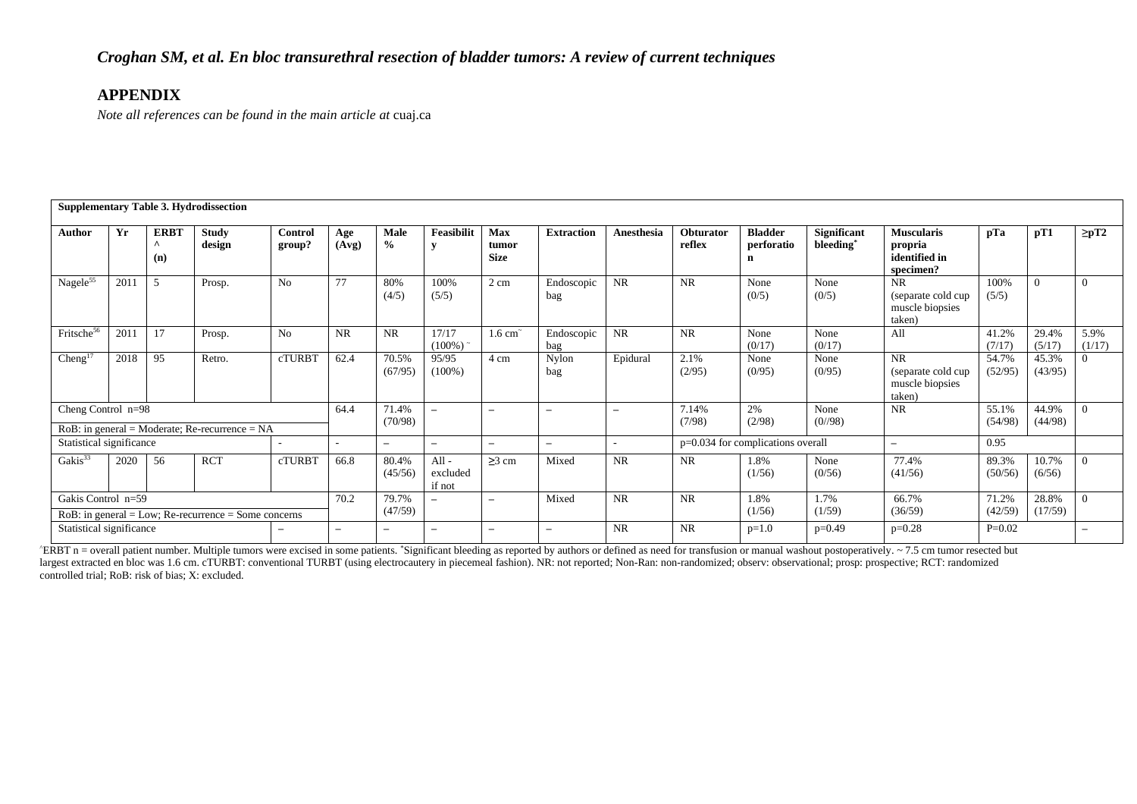*Note all references can be found in the main article at* cuaj.ca

|                          |                                                   |                         | <b>Supplementary Table 3. Hydrodissection</b>           |                          |                          |                          |                                 |                                    |                          |                          |                     |                                   |                                      |                                                              |                  |                  |                |
|--------------------------|---------------------------------------------------|-------------------------|---------------------------------------------------------|--------------------------|--------------------------|--------------------------|---------------------------------|------------------------------------|--------------------------|--------------------------|---------------------|-----------------------------------|--------------------------------------|--------------------------------------------------------------|------------------|------------------|----------------|
| Author                   | Yr                                                | <b>ERBT</b><br>Λ<br>(n) | <b>Study</b><br>design                                  | Control<br>group?        | Age<br>(Avg)             | <b>Male</b><br>$\%$      | <b>Feasibilit</b>               | <b>Max</b><br>tumor<br><b>Size</b> | <b>Extraction</b>        | Anesthesia               | Obturator<br>reflex | <b>Bladder</b><br>perforatio<br>n | Significant<br>bleeding <sup>*</sup> | <b>Muscularis</b><br>propria<br>identified in<br>specimen?   | pTa              | pT1              | $\geq pT2$     |
| Nagele <sup>55</sup>     | 2011                                              | 5                       | Prosp.                                                  | N <sub>o</sub>           | 77                       | 80%<br>(4/5)             | 100%<br>(5/5)                   | 2 cm                               | Endoscopic<br>bag        | <b>NR</b>                | <b>NR</b>           | None<br>(0/5)                     | None<br>(0/5)                        | <b>NR</b><br>(separate cold cup<br>muscle biopsies<br>taken) | 100%<br>(5/5)    | $\Omega$         | $\Omega$       |
| Fritsche <sup>56</sup>   | 17<br>No<br>201<br>Prosp.<br>95<br>2018<br>Retro. |                         |                                                         |                          | <b>NR</b>                | <b>NR</b>                | 17/17<br>$(100\%)$ <sup>*</sup> | $1.6 \text{ cm}^{-1}$              | Endoscopic<br>bag        | <b>NR</b>                | NR                  | None<br>(0/17)                    | None<br>(0/17)                       | All                                                          | 41.2%<br>(7/17)  | 29.4%<br>(5/17)  | 5.9%<br>(1/17) |
| Cheng <sup>17</sup>      |                                                   |                         |                                                         | cTURBT                   | 62.4                     | 70.5%<br>(67/95)         | 95/95<br>$(100\%)$              | 4 cm                               | Nylon<br>bag             | Epidural                 | 2.1%<br>(2/95)      | None<br>(0/95)                    | None<br>(0/95)                       | <b>NR</b><br>(separate cold cup<br>muscle biopsies<br>taken) | 54.7%<br>(52/95) | 45.3%<br>(43/95) |                |
| Cheng Control $n=98$     |                                                   |                         | $RoB$ : in general = Moderate; Re-recurrence = NA       |                          | 64.4                     | 71.4%<br>(70/98)         | $\overline{\phantom{0}}$        | $\equiv$                           | $\overline{\phantom{0}}$ | $\overline{\phantom{m}}$ | 7.14%<br>(7/98)     | 2%<br>(2/98)                      | None<br>(0/98)                       | <b>NR</b>                                                    | 55.1%<br>(54/98) | 44.9%<br>(44/98) |                |
| Statistical significance |                                                   |                         |                                                         |                          |                          | $\overline{\phantom{m}}$ | $\qquad \qquad$                 | -                                  | $\qquad \qquad$          |                          |                     | p=0.034 for complications overall |                                      | $\overline{\phantom{0}}$                                     | 0.95             |                  |                |
| Gakis <sup>33</sup>      | <b>RCT</b><br><b>cTURBT</b><br>2020<br>56         |                         |                                                         |                          |                          | 80.4%<br>(45/56)         | $All -$<br>excluded<br>if not   | $\geq$ 3 cm                        | Mixed                    | <b>NR</b>                | NR                  | 1.8%<br>(1/56)                    | None<br>(0/56)                       | 77.4%<br>(41/56)                                             | 89.3%<br>(50/56) | 10.7%<br>(6/56)  |                |
| Gakis Control n=59       |                                                   |                         | $RoB$ : in general = Low; Re-recurrence = Some concerns |                          | 70.2                     | 79.7%<br>(47/59)         | $\overline{\phantom{0}}$        | -                                  | Mixed                    | <b>NR</b>                | <b>NR</b>           | 1.8%<br>(1/56)                    | 1.7%<br>(1/59)                       | 66.7%<br>(36/59)                                             | 71.2%<br>(42/59) | 28.8%<br>(17/59) |                |
| Statistical significance |                                                   |                         |                                                         | $\overline{\phantom{0}}$ | $\overline{\phantom{0}}$ | $\overline{\phantom{m}}$ | -                               |                                    |                          | NR                       | <b>NR</b>           | $p=1.0$                           | $p=0.49$                             | $p=0.28$                                                     | $P=0.02$         |                  |                |

 $\triangle$ ERBT n = overall patient number. Multiple tumors were excised in some patients. \*Significant bleeding as reported by authors or defined as need for transfusion or manual washout postoperatively. ~ 7.5 cm tumor resecte largest extracted en bloc was 1.6 cm. cTURBT: conventional TURBT (using electrocautery in piecemeal fashion). NR: not reported; Non-Ran: non-randomized; observ: observational; prosp: prospective; RCT: randomized controlled trial; RoB: risk of bias; X: excluded.